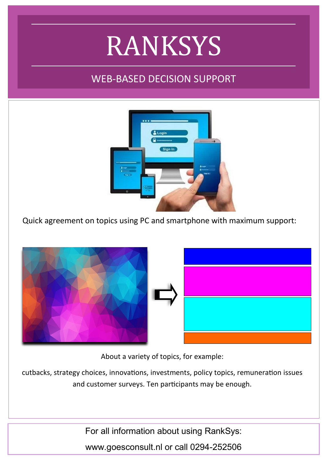# RANKSYS

## WEB-BASED DECISION SUPPORT



Quick agreement on topics using PC and smartphone with maximum support:



About a variety of topics, for example:

cutbacks, strategy choices, innovations, investments, policy topics, remuneration issues and customer surveys. Ten participants may be enough.

For all information about using RankSys:

www.goesconsult.nl or call 0294-252506